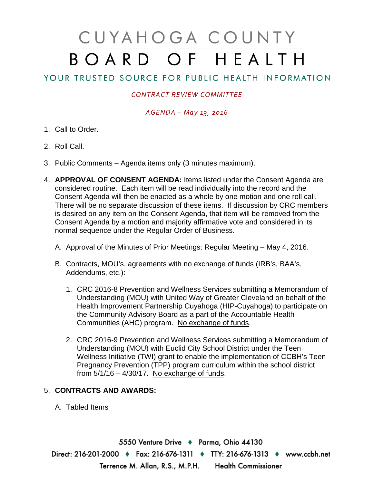# CUYAHOGA COUNTY BOARD OF HEALTH

## YOUR TRUSTED SOURCE FOR PUBLIC HEALTH INFORMATION

### *CONTRACT REVIEW COMMITTEE*

#### *AGENDA – May 13, 2016*

- 1. Call to Order.
- 2. Roll Call.
- 3. Public Comments Agenda items only (3 minutes maximum).
- 4. **APPROVAL OF CONSENT AGENDA:** Items listed under the Consent Agenda are considered routine. Each item will be read individually into the record and the Consent Agenda will then be enacted as a whole by one motion and one roll call. There will be no separate discussion of these items. If discussion by CRC members is desired on any item on the Consent Agenda, that item will be removed from the Consent Agenda by a motion and majority affirmative vote and considered in its normal sequence under the Regular Order of Business.
	- A. Approval of the Minutes of Prior Meetings: Regular Meeting May 4, 2016.
	- B. Contracts, MOU's, agreements with no exchange of funds (IRB's, BAA's, Addendums, etc.):
		- 1. CRC 2016-8 Prevention and Wellness Services submitting a Memorandum of Understanding (MOU) with United Way of Greater Cleveland on behalf of the Health Improvement Partnership Cuyahoga (HIP-Cuyahoga) to participate on the Community Advisory Board as a part of the Accountable Health Communities (AHC) program. No exchange of funds.
		- 2. CRC 2016-9 Prevention and Wellness Services submitting a Memorandum of Understanding (MOU) with Euclid City School District under the Teen Wellness Initiative (TWI) grant to enable the implementation of CCBH's Teen Pregnancy Prevention (TPP) program curriculum within the school district from  $5/1/16 - 4/30/17$ . No exchange of funds.

#### 5. **CONTRACTS AND AWARDS:**

A. Tabled Items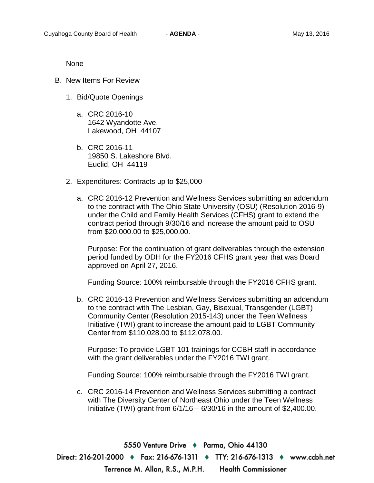None

- B. New Items For Review
	- 1. Bid/Quote Openings
		- a. CRC 2016-10 1642 Wyandotte Ave. Lakewood, OH 44107
		- b. CRC 2016-11 19850 S. Lakeshore Blvd. Euclid, OH 44119
	- 2. Expenditures: Contracts up to \$25,000
		- a. CRC 2016-12 Prevention and Wellness Services submitting an addendum to the contract with The Ohio State University (OSU) (Resolution 2016-9) under the Child and Family Health Services (CFHS) grant to extend the contract period through 9/30/16 and increase the amount paid to OSU from \$20,000.00 to \$25,000.00.

Purpose: For the continuation of grant deliverables through the extension period funded by ODH for the FY2016 CFHS grant year that was Board approved on April 27, 2016.

Funding Source: 100% reimbursable through the FY2016 CFHS grant.

b. CRC 2016-13 Prevention and Wellness Services submitting an addendum to the contract with The Lesbian, Gay, Bisexual, Transgender (LGBT) Community Center (Resolution 2015-143) under the Teen Wellness Initiative (TWI) grant to increase the amount paid to LGBT Community Center from \$110,028.00 to \$112,078.00.

Purpose: To provide LGBT 101 trainings for CCBH staff in accordance with the grant deliverables under the FY2016 TWI grant.

Funding Source: 100% reimbursable through the FY2016 TWI grant.

c. CRC 2016-14 Prevention and Wellness Services submitting a contract with The Diversity Center of Northeast Ohio under the Teen Wellness Initiative (TWI) grant from  $6/1/16 - 6/30/16$  in the amount of \$2,400.00.

5550 Venture Drive + Parma, Ohio 44130 Direct: 216-201-2000 ♦ Fax: 216-676-1311 ♦ TTY: 216-676-1313 ♦ www.ccbh.net Terrence M. Allan, R.S., M.P.H. Health Commissioner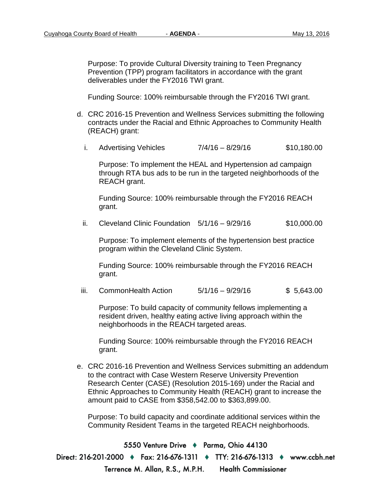Purpose: To provide Cultural Diversity training to Teen Pregnancy Prevention (TPP) program facilitators in accordance with the grant deliverables under the FY2016 TWI grant.

Funding Source: 100% reimbursable through the FY2016 TWI grant.

- d. CRC 2016-15 Prevention and Wellness Services submitting the following contracts under the Racial and Ethnic Approaches to Community Health (REACH) grant:
	- i. Advertising Vehicles  $7/4/16 8/29/16$  \$10,180.00

Purpose: To implement the HEAL and Hypertension ad campaign through RTA bus ads to be run in the targeted neighborhoods of the REACH grant.

Funding Source: 100% reimbursable through the FY2016 REACH grant.

ii. Cleveland Clinic Foundation  $5/1/16 - 9/29/16$  \$10,000.00

Purpose: To implement elements of the hypertension best practice program within the Cleveland Clinic System.

Funding Source: 100% reimbursable through the FY2016 REACH grant.

iii. CommonHealth Action 5/1/16 – 9/29/16 \$ 5,643.00

Purpose: To build capacity of community fellows implementing a resident driven, healthy eating active living approach within the neighborhoods in the REACH targeted areas.

Funding Source: 100% reimbursable through the FY2016 REACH grant.

e. CRC 2016-16 Prevention and Wellness Services submitting an addendum to the contract with Case Western Reserve University Prevention Research Center (CASE) (Resolution 2015-169) under the Racial and Ethnic Approaches to Community Health (REACH) grant to increase the amount paid to CASE from \$358,542.00 to \$363,899.00.

Purpose: To build capacity and coordinate additional services within the Community Resident Teams in the targeted REACH neighborhoods.

5550 Venture Drive + Parma, Ohio 44130 Direct: 216-201-2000 ♦ Fax: 216-676-1311 ♦ TTY: 216-676-1313 ♦ www.ccbh.net Terrence M. Allan, R.S., M.P.H. Health Commissioner